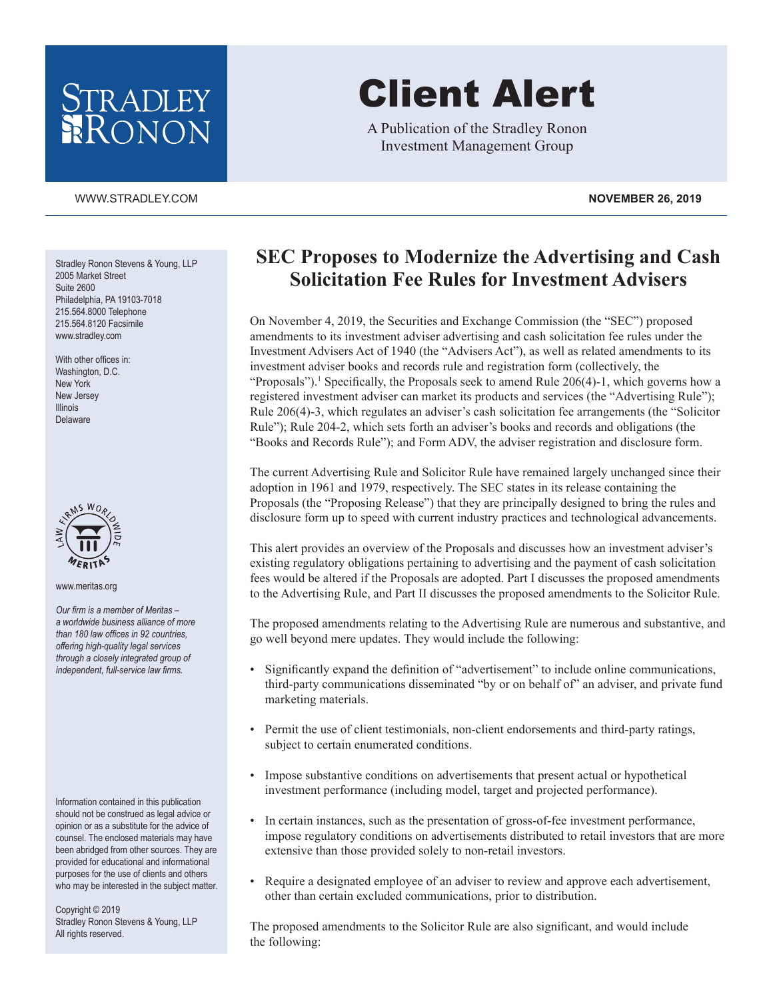## STRADLEY RONON

#### [WWW.STRADLEY.COM](www.stradley.com) **NOVEMBER 26, 2019**

Stradley Ronon Stevens & Young, LLP 2005 Market Street Suite 2600 Philadelphia, PA 19103-7018 215.564.8000 Telephone 215.564.8120 Facsimile [www.stradley.com](http://www.stradley.com)

With other offices in: Washington, D.C. New York New Jersey Illinois Delaware



www.meritas.org

*Our firm is a member of Meritas – a worldwide business alliance of more than 180 law offices in 92 countries, offering high-quality legal services through a closely integrated group of independent, full-service law firms.*

Information contained in this publication should not be construed as legal advice or opinion or as a substitute for the advice of counsel. The enclosed materials may have been abridged from other sources. They are provided for educational and informational purposes for the use of clients and others who may be interested in the subject matter.

Copyright © 2019 Stradley Ronon Stevens & Young, LLP All rights reserved.

# Client Alert

A Publication of the Stradley Ronon Investment Management Group

### **SEC Proposes to Modernize the Advertising and Cash Solicitation Fee Rules for Investment Advisers**

On November 4, 2019, the Securities and Exchange Commission (the "SEC") proposed amendments to its investment adviser advertising and cash solicitation fee rules under the Investment Advisers Act of 1940 (the "Advisers Act"), as well as related amendments to its investment adviser books and records rule and registration form (collectively, the "Proposals").<sup>1</sup> Specifically, the Proposals seek to amend Rule  $206(4)-1$ , which governs how a registered investment adviser can market its products and services (the "Advertising Rule"); Rule 206(4)-3, which regulates an adviser's cash solicitation fee arrangements (the "Solicitor Rule"); Rule 204-2, which sets forth an adviser's books and records and obligations (the "Books and Records Rule"); and Form ADV, the adviser registration and disclosure form.

The current Advertising Rule and Solicitor Rule have remained largely unchanged since their adoption in 1961 and 1979, respectively. The SEC states in its release containing the Proposals (the "Proposing Release") that they are principally designed to bring the rules and disclosure form up to speed with current industry practices and technological advancements.

This alert provides an overview of the Proposals and discusses how an investment adviser's existing regulatory obligations pertaining to advertising and the payment of cash solicitation fees would be altered if the Proposals are adopted. Part I discusses the proposed amendments to the Advertising Rule, and Part II discusses the proposed amendments to the Solicitor Rule.

The proposed amendments relating to the Advertising Rule are numerous and substantive, and go well beyond mere updates. They would include the following:

- Significantly expand the definition of "advertisement" to include online communications, third-party communications disseminated "by or on behalf of" an adviser, and private fund marketing materials.
- Permit the use of client testimonials, non-client endorsements and third-party ratings, subject to certain enumerated conditions.
- Impose substantive conditions on advertisements that present actual or hypothetical investment performance (including model, target and projected performance).
- In certain instances, such as the presentation of gross-of-fee investment performance, impose regulatory conditions on advertisements distributed to retail investors that are more extensive than those provided solely to non-retail investors.
- Require a designated employee of an adviser to review and approve each advertisement, other than certain excluded communications, prior to distribution.

The proposed amendments to the Solicitor Rule are also significant, and would include the following: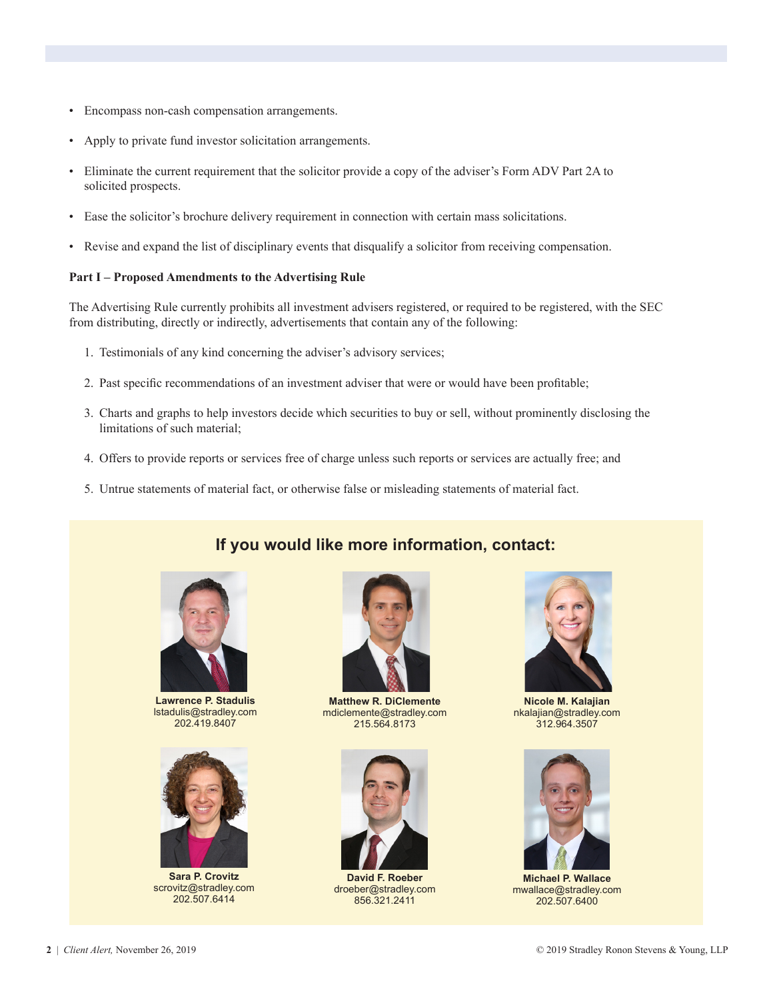- Encompass non-cash compensation arrangements.
- Apply to private fund investor solicitation arrangements.
- Eliminate the current requirement that the solicitor provide a copy of the adviser's Form ADV Part 2A to solicited prospects.
- Ease the solicitor's brochure delivery requirement in connection with certain mass solicitations.
- Revise and expand the list of disciplinary events that disqualify a solicitor from receiving compensation.

#### **Part I – Proposed Amendments to the Advertising Rule**

The Advertising Rule currently prohibits all investment advisers registered, or required to be registered, with the SEC from distributing, directly or indirectly, advertisements that contain any of the following:

- 1. Testimonials of any kind concerning the adviser's advisory services;
- 2. Past specific recommendations of an investment adviser that were or would have been profitable;
- 3. Charts and graphs to help investors decide which securities to buy or sell, without prominently disclosing the limitations of such material;
- 4. Offers to provide reports or services free of charge unless such reports or services are actually free; and
- 5. Untrue statements of material fact, or otherwise false or misleading statements of material fact.



**Lawrence P. Stadulis** lstadulis@stradley.com 202.419.8407



**Sara P. Crovitz** scrovitz@stradley.com 202.507.6414



**If you would like more information, contact:**

**Matthew R. DiClemente** mdiclemente@stradley.com 215.564.8173



**David F. Roeber** droeber@stradley.com 856.321.2411



**Nicole M. Kalajian** nkalajian@stradley.com 312.964.3507



**Michael P. Wallace** mwallace@stradley.com 202.507.6400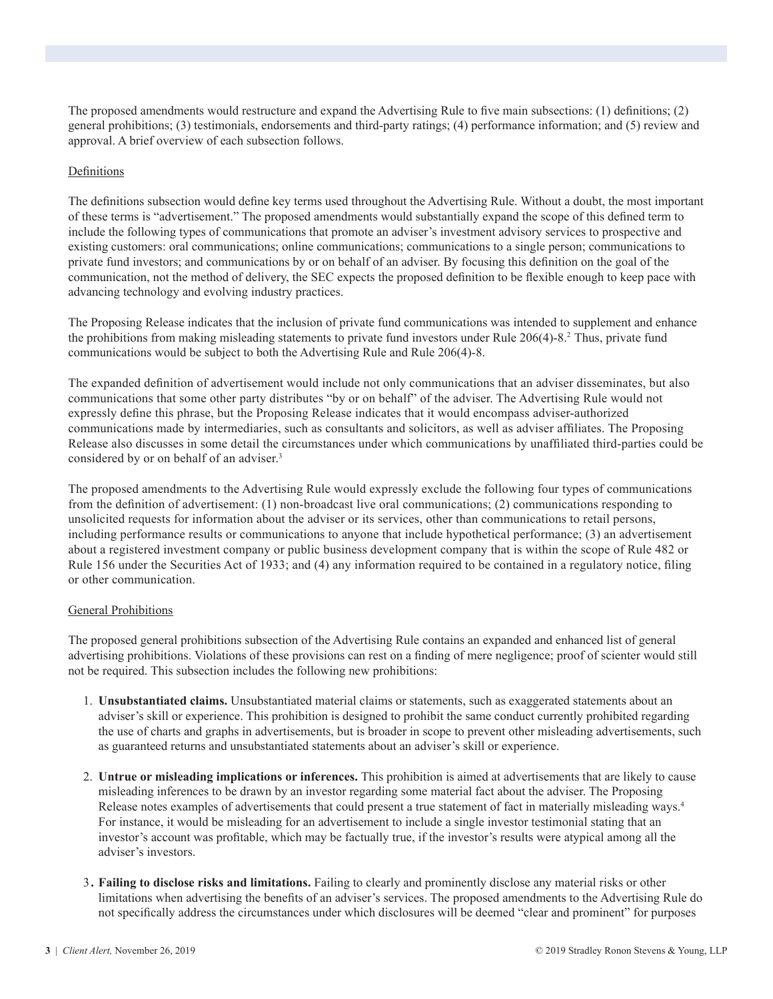The proposed amendments would restructure and expand the Advertising Rule to five main subsections: (1) definitions; (2) general prohibitions; (3) testimonials, endorsements and third-party ratings; (4) performance information; and (5) review and approval. A brief overview of each subsection follows.

#### Definitions

The definitions subsection would define key terms used throughout the Advertising Rule. Without a doubt, the most important of these terms is "advertisement." The proposed amendments would substantially expand the scope of this defined term to include the following types of communications that promote an adviser's investment advisory services to prospective and existing customers: oral communications; online communications; communications to a single person; communications to private fund investors; and communications by or on behalf of an adviser. By focusing this definition on the goal of the communication, not the method of delivery, the SEC expects the proposed definition to be flexible enough to keep pace with advancing technology and evolving industry practices.

The Proposing Release indicates that the inclusion of private fund communications was intended to supplement and enhance the prohibitions from making misleading statements to private fund investors under Rule 206(4)-8.<sup>2</sup> Thus, private fund communications would be subject to both the Advertising Rule and Rule 206(4)-8.

The expanded definition of advertisement would include not only communications that an adviser disseminates, but also communications that some other party distributes "by or on behalf" of the adviser. The Advertising Rule would not expressly define this phrase, but the Proposing Release indicates that it would encompass adviser-authorized communications made by intermediaries, such as consultants and solicitors, as well as adviser affiliates. The Proposing Release also discusses in some detail the circumstances under which communications by unaffiliated third-parties could be considered by or on behalf of an adviser.<sup>3</sup>

The proposed amendments to the Advertising Rule would expressly exclude the following four types of communications from the definition of advertisement: (1) non-broadcast live oral communications; (2) communications responding to unsolicited requests for information about the adviser or its services, other than communications to retail persons, including performance results or communications to anyone that include hypothetical performance; (3) an advertisement about a registered investment company or public business development company that is within the scope of Rule 482 or Rule 156 under the Securities Act of 1933; and (4) any information required to be contained in a regulatory notice, filing or other communication.

#### General Prohibitions

The proposed general prohibitions subsection of the Advertising Rule contains an expanded and enhanced list of general advertising prohibitions. Violations of these provisions can rest on a finding of mere negligence; proof of scienter would still not be required. This subsection includes the following new prohibitions:

- 1. **Unsubstantiated claims.** Unsubstantiated material claims or statements, such as exaggerated statements about an adviser's skill or experience. This prohibition is designed to prohibit the same conduct currently prohibited regarding the use of charts and graphs in advertisements, but is broader in scope to prevent other misleading advertisements, such as guaranteed returns and unsubstantiated statements about an adviser's skill or experience.
- 2. **Untrue or misleading implications or inferences.** This prohibition is aimed at advertisements that are likely to cause misleading inferences to be drawn by an investor regarding some material fact about the adviser. The Proposing Release notes examples of advertisements that could present a true statement of fact in materially misleading ways.<sup>4</sup> For instance, it would be misleading for an advertisement to include a single investor testimonial stating that an investor's account was profitable, which may be factually true, if the investor's results were atypical among all the adviser's investors.
- 3**. Failing to disclose risks and limitations.** Failing to clearly and prominently disclose any material risks or other limitations when advertising the benefits of an adviser's services. The proposed amendments to the Advertising Rule do not specifically address the circumstances under which disclosures will be deemed "clear and prominent" for purposes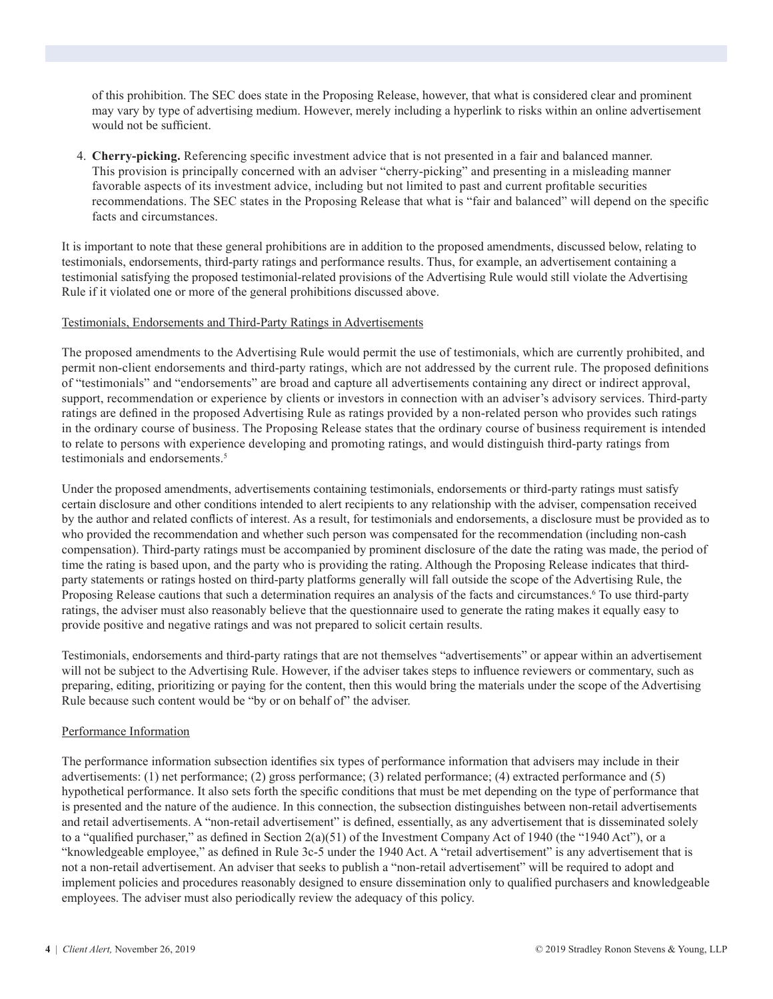of this prohibition. The SEC does state in the Proposing Release, however, that what is considered clear and prominent may vary by type of advertising medium. However, merely including a hyperlink to risks within an online advertisement would not be sufficient.

4. **Cherry-picking.** Referencing specific investment advice that is not presented in a fair and balanced manner. This provision is principally concerned with an adviser "cherry-picking" and presenting in a misleading manner favorable aspects of its investment advice, including but not limited to past and current profitable securities recommendations. The SEC states in the Proposing Release that what is "fair and balanced" will depend on the specific facts and circumstances.

It is important to note that these general prohibitions are in addition to the proposed amendments, discussed below, relating to testimonials, endorsements, third-party ratings and performance results. Thus, for example, an advertisement containing a testimonial satisfying the proposed testimonial-related provisions of the Advertising Rule would still violate the Advertising Rule if it violated one or more of the general prohibitions discussed above.

#### Testimonials, Endorsements and Third-Party Ratings in Advertisements

The proposed amendments to the Advertising Rule would permit the use of testimonials, which are currently prohibited, and permit non-client endorsements and third-party ratings, which are not addressed by the current rule. The proposed definitions of "testimonials" and "endorsements" are broad and capture all advertisements containing any direct or indirect approval, support, recommendation or experience by clients or investors in connection with an adviser's advisory services. Third-party ratings are defined in the proposed Advertising Rule as ratings provided by a non-related person who provides such ratings in the ordinary course of business. The Proposing Release states that the ordinary course of business requirement is intended to relate to persons with experience developing and promoting ratings, and would distinguish third-party ratings from testimonials and endorsements.<sup>5</sup>

Under the proposed amendments, advertisements containing testimonials, endorsements or third-party ratings must satisfy certain disclosure and other conditions intended to alert recipients to any relationship with the adviser, compensation received by the author and related conflicts of interest. As a result, for testimonials and endorsements, a disclosure must be provided as to who provided the recommendation and whether such person was compensated for the recommendation (including non-cash compensation). Third-party ratings must be accompanied by prominent disclosure of the date the rating was made, the period of time the rating is based upon, and the party who is providing the rating. Although the Proposing Release indicates that thirdparty statements or ratings hosted on third-party platforms generally will fall outside the scope of the Advertising Rule, the Proposing Release cautions that such a determination requires an analysis of the facts and circumstances.<sup>6</sup> To use third-party ratings, the adviser must also reasonably believe that the questionnaire used to generate the rating makes it equally easy to provide positive and negative ratings and was not prepared to solicit certain results.

Testimonials, endorsements and third-party ratings that are not themselves "advertisements" or appear within an advertisement will not be subject to the Advertising Rule. However, if the adviser takes steps to influence reviewers or commentary, such as preparing, editing, prioritizing or paying for the content, then this would bring the materials under the scope of the Advertising Rule because such content would be "by or on behalf of" the adviser.

#### Performance Information

The performance information subsection identifies six types of performance information that advisers may include in their advertisements: (1) net performance; (2) gross performance; (3) related performance; (4) extracted performance and (5) hypothetical performance. It also sets forth the specific conditions that must be met depending on the type of performance that is presented and the nature of the audience. In this connection, the subsection distinguishes between non-retail advertisements and retail advertisements. A "non-retail advertisement" is defined, essentially, as any advertisement that is disseminated solely to a "qualified purchaser," as defined in Section  $2(a)(51)$  of the Investment Company Act of 1940 (the "1940 Act"), or a "knowledgeable employee," as defined in Rule 3c-5 under the 1940 Act. A "retail advertisement" is any advertisement that is not a non-retail advertisement. An adviser that seeks to publish a "non-retail advertisement" will be required to adopt and implement policies and procedures reasonably designed to ensure dissemination only to qualified purchasers and knowledgeable employees. The adviser must also periodically review the adequacy of this policy.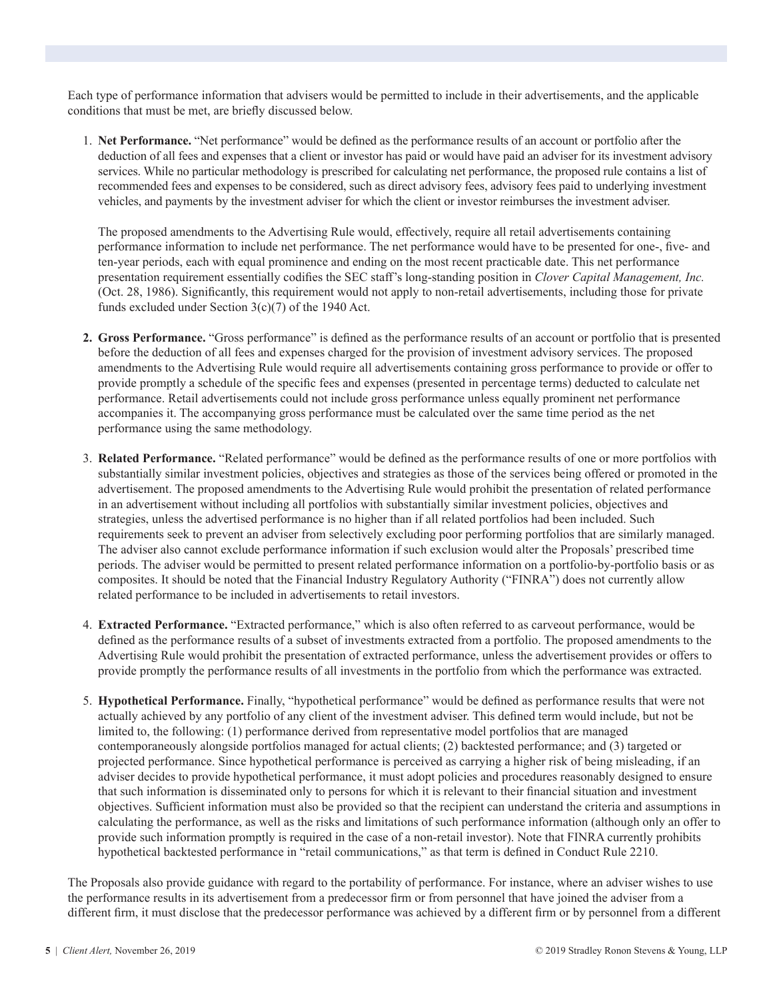Each type of performance information that advisers would be permitted to include in their advertisements, and the applicable conditions that must be met, are briefly discussed below.

1. **Net Performance.** "Net performance" would be defined as the performance results of an account or portfolio after the deduction of all fees and expenses that a client or investor has paid or would have paid an adviser for its investment advisory services. While no particular methodology is prescribed for calculating net performance, the proposed rule contains a list of recommended fees and expenses to be considered, such as direct advisory fees, advisory fees paid to underlying investment vehicles, and payments by the investment adviser for which the client or investor reimburses the investment adviser.

 The proposed amendments to the Advertising Rule would, effectively, require all retail advertisements containing performance information to include net performance. The net performance would have to be presented for one-, five- and ten-year periods, each with equal prominence and ending on the most recent practicable date. This net performance presentation requirement essentially codifies the SEC staff's long-standing position in *Clover Capital Management, Inc.* (Oct. 28, 1986). Significantly, this requirement would not apply to non-retail advertisements, including those for private funds excluded under Section 3(c)(7) of the 1940 Act.

- **2. Gross Performance.** "Gross performance" is defined as the performance results of an account or portfolio that is presented before the deduction of all fees and expenses charged for the provision of investment advisory services. The proposed amendments to the Advertising Rule would require all advertisements containing gross performance to provide or offer to provide promptly a schedule of the specific fees and expenses (presented in percentage terms) deducted to calculate net performance. Retail advertisements could not include gross performance unless equally prominent net performance accompanies it. The accompanying gross performance must be calculated over the same time period as the net performance using the same methodology.
- 3. **Related Performance.** "Related performance" would be defined as the performance results of one or more portfolios with substantially similar investment policies, objectives and strategies as those of the services being offered or promoted in the advertisement. The proposed amendments to the Advertising Rule would prohibit the presentation of related performance in an advertisement without including all portfolios with substantially similar investment policies, objectives and strategies, unless the advertised performance is no higher than if all related portfolios had been included. Such requirements seek to prevent an adviser from selectively excluding poor performing portfolios that are similarly managed. The adviser also cannot exclude performance information if such exclusion would alter the Proposals' prescribed time periods. The adviser would be permitted to present related performance information on a portfolio-by-portfolio basis or as composites. It should be noted that the Financial Industry Regulatory Authority ("FINRA") does not currently allow related performance to be included in advertisements to retail investors.
- 4. **Extracted Performance.** "Extracted performance," which is also often referred to as carveout performance, would be defined as the performance results of a subset of investments extracted from a portfolio. The proposed amendments to the Advertising Rule would prohibit the presentation of extracted performance, unless the advertisement provides or offers to provide promptly the performance results of all investments in the portfolio from which the performance was extracted.
- 5. **Hypothetical Performance.** Finally, "hypothetical performance" would be defined as performance results that were not actually achieved by any portfolio of any client of the investment adviser. This defined term would include, but not be limited to, the following: (1) performance derived from representative model portfolios that are managed contemporaneously alongside portfolios managed for actual clients; (2) backtested performance; and (3) targeted or projected performance. Since hypothetical performance is perceived as carrying a higher risk of being misleading, if an adviser decides to provide hypothetical performance, it must adopt policies and procedures reasonably designed to ensure that such information is disseminated only to persons for which it is relevant to their financial situation and investment objectives. Sufficient information must also be provided so that the recipient can understand the criteria and assumptions in calculating the performance, as well as the risks and limitations of such performance information (although only an offer to provide such information promptly is required in the case of a non-retail investor). Note that FINRA currently prohibits hypothetical backtested performance in "retail communications," as that term is defined in Conduct Rule 2210.

The Proposals also provide guidance with regard to the portability of performance. For instance, where an adviser wishes to use the performance results in its advertisement from a predecessor firm or from personnel that have joined the adviser from a different firm, it must disclose that the predecessor performance was achieved by a different firm or by personnel from a different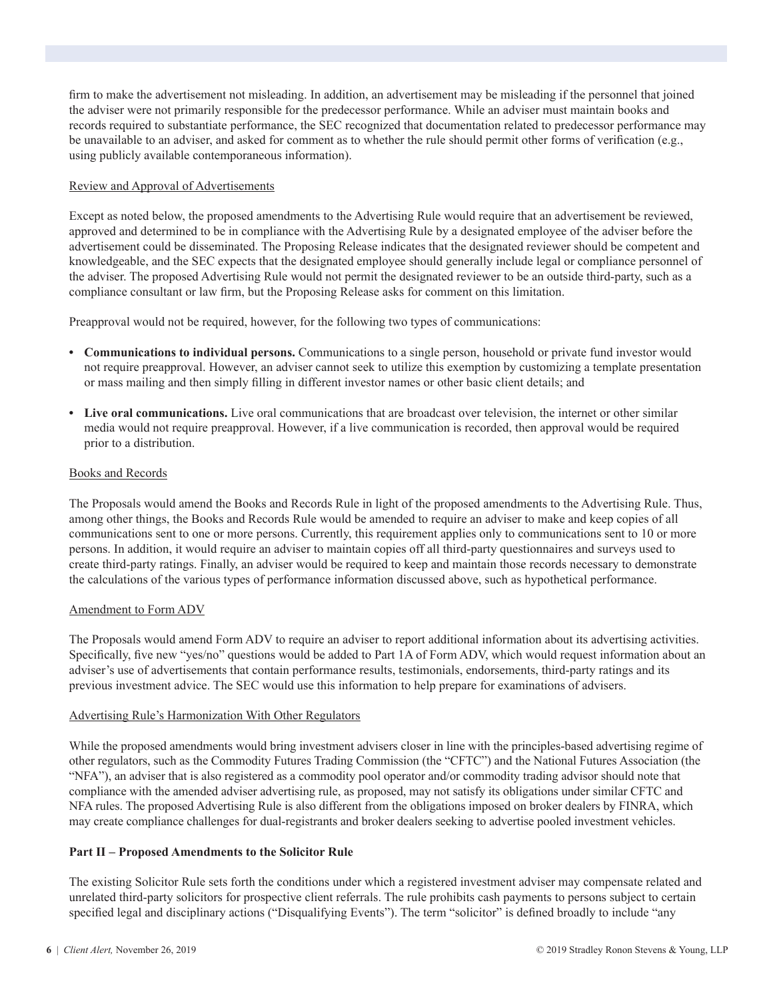firm to make the advertisement not misleading. In addition, an advertisement may be misleading if the personnel that joined the adviser were not primarily responsible for the predecessor performance. While an adviser must maintain books and records required to substantiate performance, the SEC recognized that documentation related to predecessor performance may be unavailable to an adviser, and asked for comment as to whether the rule should permit other forms of verification (e.g., using publicly available contemporaneous information).

#### Review and Approval of Advertisements

Except as noted below, the proposed amendments to the Advertising Rule would require that an advertisement be reviewed, approved and determined to be in compliance with the Advertising Rule by a designated employee of the adviser before the advertisement could be disseminated. The Proposing Release indicates that the designated reviewer should be competent and knowledgeable, and the SEC expects that the designated employee should generally include legal or compliance personnel of the adviser. The proposed Advertising Rule would not permit the designated reviewer to be an outside third-party, such as a compliance consultant or law firm, but the Proposing Release asks for comment on this limitation.

Preapproval would not be required, however, for the following two types of communications:

- **• Communications to individual persons.** Communications to a single person, household or private fund investor would not require preapproval. However, an adviser cannot seek to utilize this exemption by customizing a template presentation or mass mailing and then simply filling in different investor names or other basic client details; and
- **• Live oral communications.** Live oral communications that are broadcast over television, the internet or other similar media would not require preapproval. However, if a live communication is recorded, then approval would be required prior to a distribution.

#### Books and Records

The Proposals would amend the Books and Records Rule in light of the proposed amendments to the Advertising Rule. Thus, among other things, the Books and Records Rule would be amended to require an adviser to make and keep copies of all communications sent to one or more persons. Currently, this requirement applies only to communications sent to 10 or more persons. In addition, it would require an adviser to maintain copies off all third-party questionnaires and surveys used to create third-party ratings. Finally, an adviser would be required to keep and maintain those records necessary to demonstrate the calculations of the various types of performance information discussed above, such as hypothetical performance.

#### Amendment to Form ADV

The Proposals would amend Form ADV to require an adviser to report additional information about its advertising activities. Specifically, five new "yes/no" questions would be added to Part 1A of Form ADV, which would request information about an adviser's use of advertisements that contain performance results, testimonials, endorsements, third-party ratings and its previous investment advice. The SEC would use this information to help prepare for examinations of advisers.

#### Advertising Rule's Harmonization With Other Regulators

While the proposed amendments would bring investment advisers closer in line with the principles-based advertising regime of other regulators, such as the Commodity Futures Trading Commission (the "CFTC") and the National Futures Association (the "NFA"), an adviser that is also registered as a commodity pool operator and/or commodity trading advisor should note that compliance with the amended adviser advertising rule, as proposed, may not satisfy its obligations under similar CFTC and NFA rules. The proposed Advertising Rule is also different from the obligations imposed on broker dealers by FINRA, which may create compliance challenges for dual-registrants and broker dealers seeking to advertise pooled investment vehicles.

#### **Part II – Proposed Amendments to the Solicitor Rule**

The existing Solicitor Rule sets forth the conditions under which a registered investment adviser may compensate related and unrelated third-party solicitors for prospective client referrals. The rule prohibits cash payments to persons subject to certain specified legal and disciplinary actions ("Disqualifying Events"). The term "solicitor" is defined broadly to include "any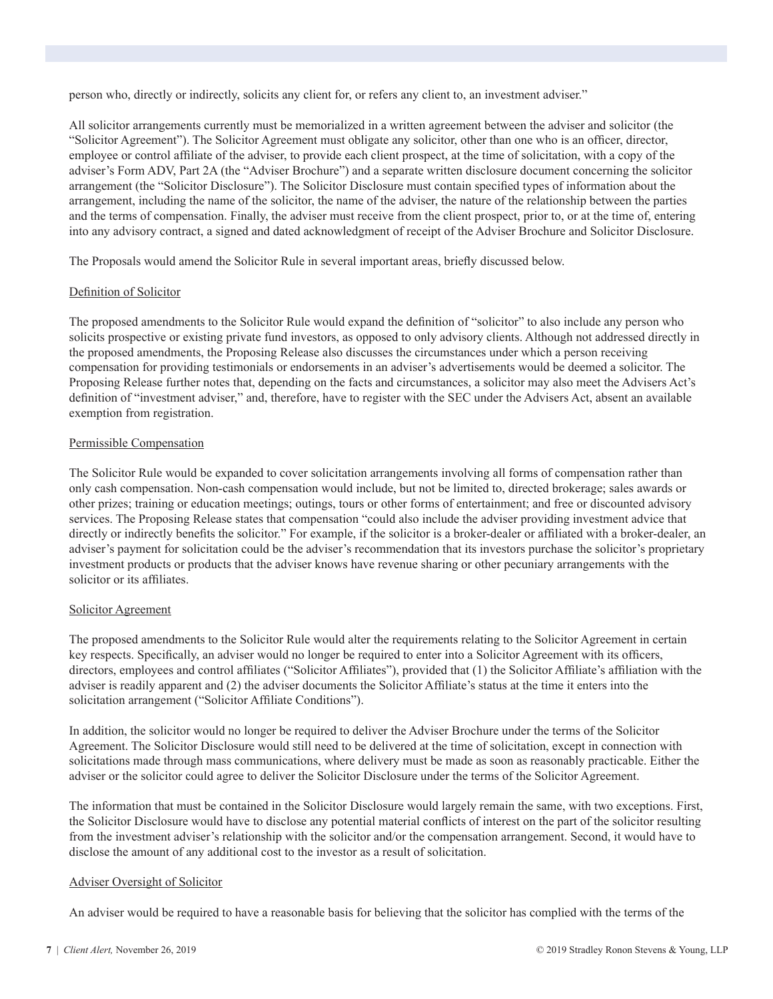person who, directly or indirectly, solicits any client for, or refers any client to, an investment adviser."

All solicitor arrangements currently must be memorialized in a written agreement between the adviser and solicitor (the "Solicitor Agreement"). The Solicitor Agreement must obligate any solicitor, other than one who is an officer, director, employee or control affiliate of the adviser, to provide each client prospect, at the time of solicitation, with a copy of the adviser's Form ADV, Part 2A (the "Adviser Brochure") and a separate written disclosure document concerning the solicitor arrangement (the "Solicitor Disclosure"). The Solicitor Disclosure must contain specified types of information about the arrangement, including the name of the solicitor, the name of the adviser, the nature of the relationship between the parties and the terms of compensation. Finally, the adviser must receive from the client prospect, prior to, or at the time of, entering into any advisory contract, a signed and dated acknowledgment of receipt of the Adviser Brochure and Solicitor Disclosure.

The Proposals would amend the Solicitor Rule in several important areas, briefly discussed below.

#### Definition of Solicitor

The proposed amendments to the Solicitor Rule would expand the definition of "solicitor" to also include any person who solicits prospective or existing private fund investors, as opposed to only advisory clients. Although not addressed directly in the proposed amendments, the Proposing Release also discusses the circumstances under which a person receiving compensation for providing testimonials or endorsements in an adviser's advertisements would be deemed a solicitor. The Proposing Release further notes that, depending on the facts and circumstances, a solicitor may also meet the Advisers Act's definition of "investment adviser," and, therefore, have to register with the SEC under the Advisers Act, absent an available exemption from registration.

#### Permissible Compensation

The Solicitor Rule would be expanded to cover solicitation arrangements involving all forms of compensation rather than only cash compensation. Non-cash compensation would include, but not be limited to, directed brokerage; sales awards or other prizes; training or education meetings; outings, tours or other forms of entertainment; and free or discounted advisory services. The Proposing Release states that compensation "could also include the adviser providing investment advice that directly or indirectly benefits the solicitor." For example, if the solicitor is a broker-dealer or affiliated with a broker-dealer, an adviser's payment for solicitation could be the adviser's recommendation that its investors purchase the solicitor's proprietary investment products or products that the adviser knows have revenue sharing or other pecuniary arrangements with the solicitor or its affiliates.

#### Solicitor Agreement

The proposed amendments to the Solicitor Rule would alter the requirements relating to the Solicitor Agreement in certain key respects. Specifically, an adviser would no longer be required to enter into a Solicitor Agreement with its officers, directors, employees and control affiliates ("Solicitor Affiliates"), provided that (1) the Solicitor Affiliate's affiliation with the adviser is readily apparent and (2) the adviser documents the Solicitor Affiliate's status at the time it enters into the solicitation arrangement ("Solicitor Affiliate Conditions").

In addition, the solicitor would no longer be required to deliver the Adviser Brochure under the terms of the Solicitor Agreement. The Solicitor Disclosure would still need to be delivered at the time of solicitation, except in connection with solicitations made through mass communications, where delivery must be made as soon as reasonably practicable. Either the adviser or the solicitor could agree to deliver the Solicitor Disclosure under the terms of the Solicitor Agreement.

The information that must be contained in the Solicitor Disclosure would largely remain the same, with two exceptions. First, the Solicitor Disclosure would have to disclose any potential material conflicts of interest on the part of the solicitor resulting from the investment adviser's relationship with the solicitor and/or the compensation arrangement. Second, it would have to disclose the amount of any additional cost to the investor as a result of solicitation.

#### Adviser Oversight of Solicitor

An adviser would be required to have a reasonable basis for believing that the solicitor has complied with the terms of the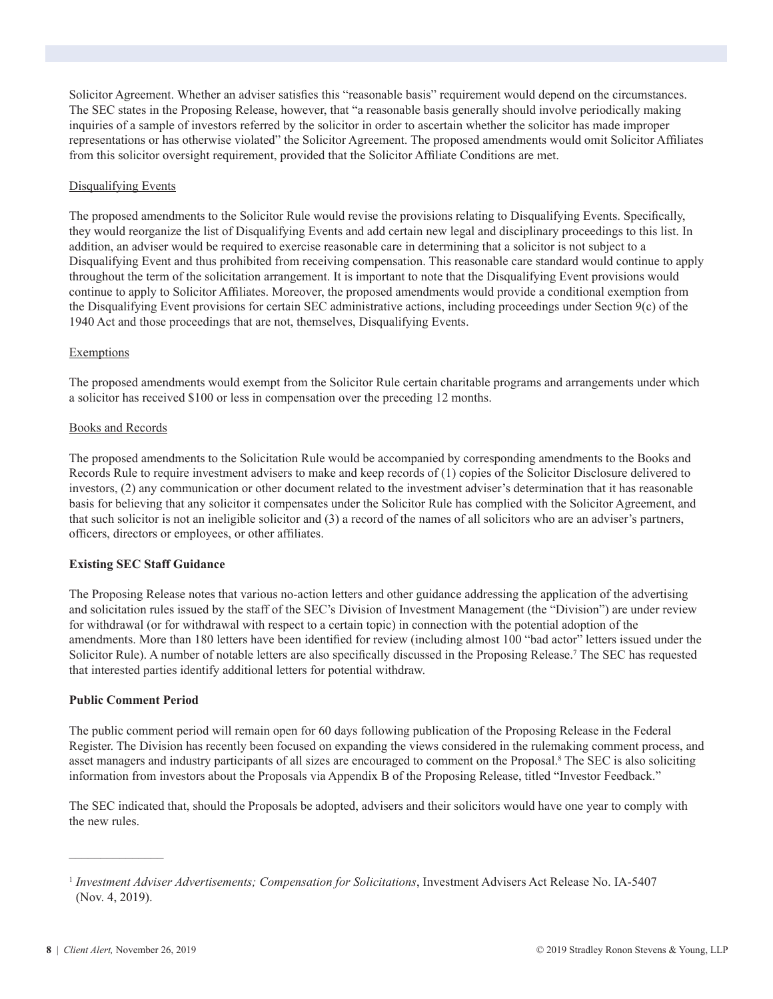Solicitor Agreement. Whether an adviser satisfies this "reasonable basis" requirement would depend on the circumstances. The SEC states in the Proposing Release, however, that "a reasonable basis generally should involve periodically making inquiries of a sample of investors referred by the solicitor in order to ascertain whether the solicitor has made improper representations or has otherwise violated" the Solicitor Agreement. The proposed amendments would omit Solicitor Affiliates from this solicitor oversight requirement, provided that the Solicitor Affiliate Conditions are met.

#### Disqualifying Events

The proposed amendments to the Solicitor Rule would revise the provisions relating to Disqualifying Events. Specifically, they would reorganize the list of Disqualifying Events and add certain new legal and disciplinary proceedings to this list. In addition, an adviser would be required to exercise reasonable care in determining that a solicitor is not subject to a Disqualifying Event and thus prohibited from receiving compensation. This reasonable care standard would continue to apply throughout the term of the solicitation arrangement. It is important to note that the Disqualifying Event provisions would continue to apply to Solicitor Affiliates. Moreover, the proposed amendments would provide a conditional exemption from the Disqualifying Event provisions for certain SEC administrative actions, including proceedings under Section 9(c) of the 1940 Act and those proceedings that are not, themselves, Disqualifying Events.

#### Exemptions

The proposed amendments would exempt from the Solicitor Rule certain charitable programs and arrangements under which a solicitor has received \$100 or less in compensation over the preceding 12 months.

#### Books and Records

The proposed amendments to the Solicitation Rule would be accompanied by corresponding amendments to the Books and Records Rule to require investment advisers to make and keep records of (1) copies of the Solicitor Disclosure delivered to investors, (2) any communication or other document related to the investment adviser's determination that it has reasonable basis for believing that any solicitor it compensates under the Solicitor Rule has complied with the Solicitor Agreement, and that such solicitor is not an ineligible solicitor and (3) a record of the names of all solicitors who are an adviser's partners, officers, directors or employees, or other affiliates.

#### **Existing SEC Staff Guidance**

The Proposing Release notes that various no-action letters and other guidance addressing the application of the advertising and solicitation rules issued by the staff of the SEC's Division of Investment Management (the "Division") are under review for withdrawal (or for withdrawal with respect to a certain topic) in connection with the potential adoption of the amendments. More than 180 letters have been identified for review (including almost 100 "bad actor" letters issued under the Solicitor Rule). A number of notable letters are also specifically discussed in the Proposing Release.<sup>7</sup> The SEC has requested that interested parties identify additional letters for potential withdraw.

#### **Public Comment Period**

The public comment period will remain open for 60 days following publication of the Proposing Release in the Federal Register. The Division has recently been focused on expanding the views considered in the rulemaking comment process, and asset managers and industry participants of all sizes are encouraged to comment on the Proposal.<sup>8</sup> The SEC is also soliciting information from investors about the Proposals via Appendix B of the Proposing Release, titled "Investor Feedback."

The SEC indicated that, should the Proposals be adopted, advisers and their solicitors would have one year to comply with the new rules.

 $\mathcal{L}=\mathcal{L}^{\mathcal{L}}$ 

<sup>1</sup> *Investment Adviser Advertisements; Compensation for Solicitations*, Investment Advisers Act Release No. IA-5407 (Nov. 4, 2019).